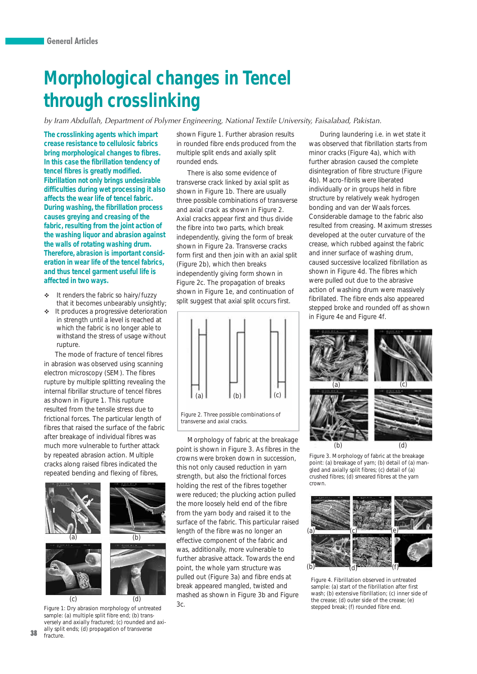## **Morphological changes in Tencel through crosslinking**

by Iram Abdullah, Department of Polymer Engineering, National Textile University, Faisalabad, Pakistan.

**The crosslinking agents which impart crease resistance to cellulosic fabrics bring morphological changes to fibres. In this case the fibrillation tendency of tencel fibres is greatly modified. Fibrillation not only brings undesirable difficulties during wet processing it also affects the wear life of tencel fabric. During washing, the fibrillation process causes greying and creasing of the fabric, resulting from the joint action of the washing liquor and abrasion against the walls of rotating washing drum. Therefore, abrasion is important consideration in wear life of the tencel fabrics, and thus tencel garment useful life is affected in two ways.**

- - It renders the fabric so hairy/fuzzy that it becomes unbearably unsightly;
- It produces a progressive deterioration in strength until a level is reached at which the fabric is no longer able to withstand the stress of usage without rupture.

The mode of fracture of tencel fibres in abrasion was observed using scanning electron microscopy (SEM). The fibres rupture by multiple splitting revealing the internal fibrillar structure of tencel fibres as shown in Figure 1. This rupture resulted from the tensile stress due to frictional forces. The particular length of fibres that raised the surface of the fabric after breakage of individual fibres was much more vulnerable to further attack by repeated abrasion action. Multiple cracks along raised fibres indicated the repeated bending and flexing of fibres,



*Figure 1: Dry abrasion morphology of untreated sample: (a) multiple split fibre end; (b) transversely and axially fractured; (c) rounded and axially split ends; (d) propagation of transverse fracture.*

shown Figure 1. Further abrasion results in rounded fibre ends produced from the multiple split ends and axially split rounded ends.

There is also some evidence of transverse crack linked by axial split as shown in Figure 1b. There are usually three possible combinations of transverse and axial crack as shown in Figure 2. Axial cracks appear first and thus divide the fibre into two parts, which break independently, giving the form of break shown in Figure 2a. Transverse cracks form first and then join with an axial split (Figure 2b), which then breaks independently giving form shown in Figure 2c. The propagation of breaks shown in Figure 1e, and continuation of split suggest that axial split occurs first.



*Figure 2. Three possible combinations of transverse and axial cracks.*

Morphology of fabric at the breakage point is shown in Figure 3. As fibres in the crowns were broken down in succession, this not only caused reduction in yarn strength, but also the frictional forces holding the rest of the fibres together were reduced; the plucking action pulled the more loosely held end of the fibre from the yarn body and raised it to the surface of the fabric. This particular raised length of the fibre was no longer an effective component of the fabric and was, additionally, more vulnerable to further abrasive attack. Towards the end point, the whole yarn structure was pulled out (Figure 3a) and fibre ends at break appeared mangled, twisted and mashed as shown in Figure 3b and Figure 3c.

During laundering i.e. in wet state it was observed that fibrillation starts from minor cracks (Figure 4a), which with further abrasion caused the complete disintegration of fibre structure (Figure 4b). Macro-fibrils were liberated individually or in groups held in fibre structure by relatively weak hydrogen bonding and van der Waals forces. Considerable damage to the fabric also resulted from creasing. Maximum stresses developed at the outer curvature of the crease, which rubbed against the fabric and inner surface of washing drum, caused successive localized fibrillation as shown in Figure 4d. The fibres which were pulled out due to the abrasive action of washing drum were massively fibrillated. The fibre ends also appeared stepped broke and rounded off as shown in Figure 4e and Figure 4f.



*Figure 3. Morphology of fabric at the breakage point: (a) breakage of yarn; (b) detail of (a) mangled and axially split fibres; (c) detail of (a) crushed fibres; (d) smeared fibres at the yarn crown.*



*Figure 4. Fibrillation observed in untreated sample: (a) start of the fibrillation after first wash; (b) extensive fibrillation; (c) inner side of the crease; (d) outer side of the crease; (e) stepped break; (f) rounded fibre end.*